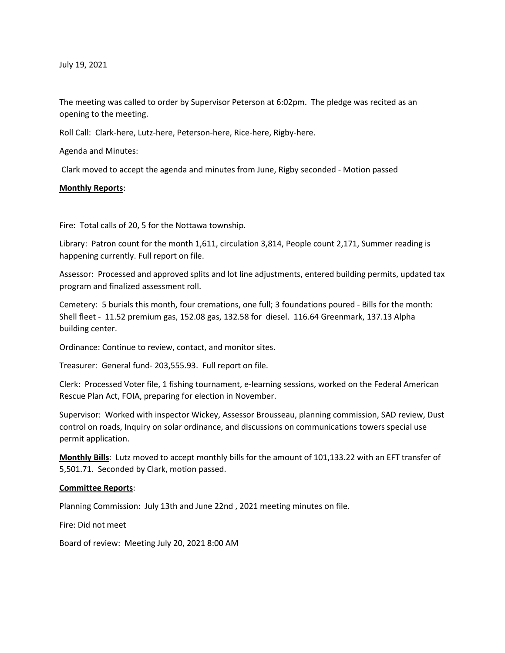July 19, 2021

The meeting was called to order by Supervisor Peterson at 6:02pm. The pledge was recited as an opening to the meeting.

Roll Call: Clark-here, Lutz-here, Peterson-here, Rice-here, Rigby-here.

Agenda and Minutes:

Clark moved to accept the agenda and minutes from June, Rigby seconded - Motion passed

### **Monthly Reports**:

Fire: Total calls of 20, 5 for the Nottawa township.

Library: Patron count for the month 1,611, circulation 3,814, People count 2,171, Summer reading is happening currently. Full report on file.

Assessor: Processed and approved splits and lot line adjustments, entered building permits, updated tax program and finalized assessment roll.

Cemetery: 5 burials this month, four cremations, one full; 3 foundations poured - Bills for the month: Shell fleet - 11.52 premium gas, 152.08 gas, 132.58 for diesel. 116.64 Greenmark, 137.13 Alpha building center.

Ordinance: Continue to review, contact, and monitor sites.

Treasurer: General fund- 203,555.93. Full report on file.

Clerk: Processed Voter file, 1 fishing tournament, e-learning sessions, worked on the Federal American Rescue Plan Act, FOIA, preparing for election in November.

Supervisor: Worked with inspector Wickey, Assessor Brousseau, planning commission, SAD review, Dust control on roads, Inquiry on solar ordinance, and discussions on communications towers special use permit application.

**Monthly Bills**: Lutz moved to accept monthly bills for the amount of 101,133.22 with an EFT transfer of 5,501.71. Seconded by Clark, motion passed.

### **Committee Reports**:

Planning Commission: July 13th and June 22nd , 2021 meeting minutes on file.

Fire: Did not meet

Board of review: Meeting July 20, 2021 8:00 AM